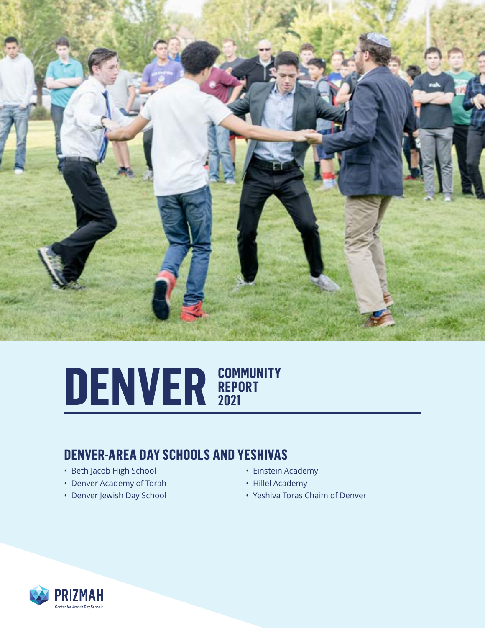

## DENVER **REPORT REPORT 2021**

#### **DENVER-AREA DAY SCHOOLS AND YESHIVAS**

- Beth Jacob High School
- Denver Academy of Torah
- Denver Jewish Day School
- Einstein Academy
- Hillel Academy
- Yeshiva Toras Chaim of Denver